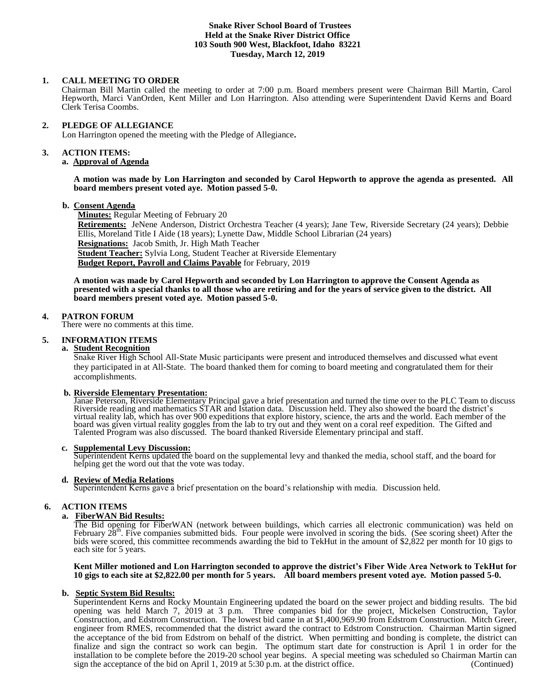# **Snake River School Board of Trustees Held at the Snake River District Office 103 South 900 West, Blackfoot, Idaho 83221 Tuesday, March 12, 2019**

# **1. CALL MEETING TO ORDER**

Chairman Bill Martin called the meeting to order at 7:00 p.m. Board members present were Chairman Bill Martin, Carol Hepworth, Marci VanOrden, Kent Miller and Lon Harrington. Also attending were Superintendent David Kerns and Board Clerk Terisa Coombs.

### **2. PLEDGE OF ALLEGIANCE**

Lon Harrington opened the meeting with the Pledge of Allegiance**.** 

#### **3. ACTION ITEMS:**

#### **a. Approval of Agenda**

#### **A motion was made by Lon Harrington and seconded by Carol Hepworth to approve the agenda as presented. All board members present voted aye. Motion passed 5-0.**

#### **b. Consent Agenda**

**Minutes:** Regular Meeting of February 20

**Retirements:** JeNene Anderson, District Orchestra Teacher (4 years); Jane Tew, Riverside Secretary (24 years); Debbie Ellis, Moreland Title I Aide (18 years); Lynette Daw, Middle School Librarian (24 years) **Resignations:** Jacob Smith, Jr. High Math Teacher **Student Teacher:** Sylvia Long, Student Teacher at Riverside Elementary **Budget Report, Payroll and Claims Payable** for February, 2019

**A motion was made by Carol Hepworth and seconded by Lon Harrington to approve the Consent Agenda as presented with a special thanks to all those who are retiring and for the years of service given to the district. All board members present voted aye. Motion passed 5-0.**

#### **4. PATRON FORUM**

There were no comments at this time.

# **5. INFORMATION ITEMS**

### **a. Student Recognition**

Snake River High School All-State Music participants were present and introduced themselves and discussed what event they participated in at All-State. The board thanked them for coming to board meeting and congratulated them for their accomplishments.

# **b. Riverside Elementary Presentation:**

Janae Peterson, Riverside Elementary Principal gave a brief presentation and turned the time over to the PLC Team to discuss Riverside reading and mathematics STAR and Istation data. Discussion held. They also showed the board the district's virtual reality lab, which has over 900 expeditions that explore history, science, the arts and the world. Each member of the board was given virtual reality goggles from the lab to try out and they went on a coral reef expedition. The Gifted and Talented Program was also discussed. The board thanked Riverside Elementary principal and staff.

#### **c. Supplemental Levy Discussion:**

Superintendent Kerns updated the board on the supplemental levy and thanked the media, school staff, and the board for helping get the word out that the vote was today.

# **d. Review of Media Relations**

Superintendent Kerns gave a brief presentation on the board's relationship with media. Discussion held.

# **6. ACTION ITEMS**

# **a. FiberWAN Bid Results:**

The Bid opening for FiberWAN (network between buildings, which carries all electronic communication) was held on February  $28<sup>th</sup>$ . Five companies submitted bids. Four people were involved in scoring the bids. (See sco bids were scored, this committee recommends awarding the bid to TekHut in the amount of \$2,822 per month for 10 gigs to each site for 5 years.

#### **Kent Miller motioned and Lon Harrington seconded to approve the district's Fiber Wide Area Network to TekHut for 10 gigs to each site at \$2,822.00 per month for 5 years. All board members present voted aye. Motion passed 5-0.**

# **b. Septic System Bid Results:**

Superintendent Kerns and Rocky Mountain Engineering updated the board on the sewer project and bidding results. The bid opening was held March 7, 2019 at 3 p.m. Three companies bid for the project, Mickelsen Construction, Taylor Construction, and Edstrom Construction. The lowest bid came in at \$1,400,969.90 from Edstrom Construction. Mitch Greer, engineer from RMES, recommended that the district award the contract to Edstrom Construction. Chairman Martin signed the acceptance of the bid from Edstrom on behalf of the district. When permitting and bonding is complete, the district can finalize and sign the contract so work can begin. The optimum start date for construction is April 1 in order for the installation to be complete before the 2019-20 school year begins. A special meeting was scheduled so Chairman Martin can sign the acceptance of the bid on April 1, 2019 at 5:30 p.m. at the district office. (Continued)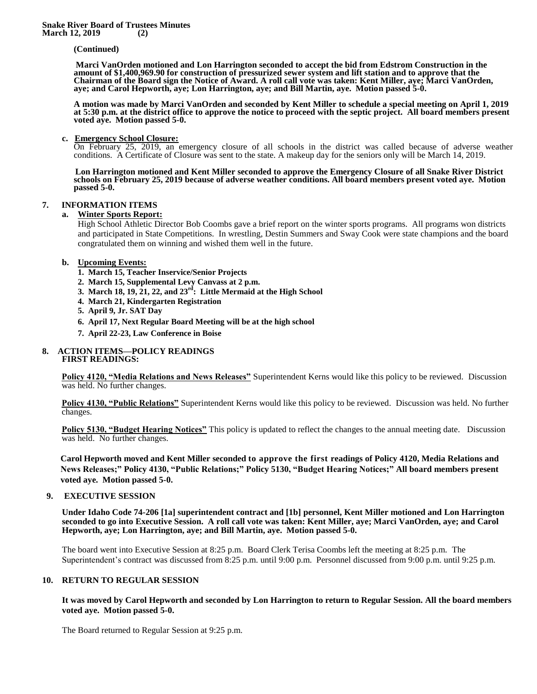#### **(Continued)**

**Marci VanOrden motioned and Lon Harrington seconded to accept the bid from Edstrom Construction in the amount of \$1,400,969.90 for construction of pressurized sewer system and lift station and to approve that the Chairman of the Board sign the Notice of Award. A roll call vote was taken: Kent Miller, aye; Marci VanOrden, aye; and Carol Hepworth, aye; Lon Harrington, aye; and Bill Martin, aye. Motion passed 5-0.** 

**A motion was made by Marci VanOrden and seconded by Kent Miller to schedule a special meeting on April 1, 2019 at 5:30 p.m. at the district office to approve the notice to proceed with the septic project. All board members present voted aye. Motion passed 5-0.** 

#### **c. Emergency School Closure:**

On February 25, 2019, an emergency closure of all schools in the district was called because of adverse weather conditions. A Certificate of Closure was sent to the state. A makeup day for the seniors only will be March 14, 2019.

 **Lon Harrington motioned and Kent Miller seconded to approve the Emergency Closure of all Snake River District schools on February 25, 2019 because of adverse weather conditions. All board members present voted aye. Motion passed 5-0.** 

# **7. INFORMATION ITEMS**

#### **a. Winter Sports Report:**

High School Athletic Director Bob Coombs gave a brief report on the winter sports programs. All programs won districts and participated in State Competitions. In wrestling, Destin Summers and Sway Cook were state champions and the board congratulated them on winning and wished them well in the future.

# **b. Upcoming Events:**

- **1. March 15, Teacher Inservice/Senior Projects**
- **2. March 15, Supplemental Levy Canvass at 2 p.m.**
- **3. March 18, 19, 21, 22, and 23rd: Little Mermaid at the High School**
- **4. March 21, Kindergarten Registration**
- **5. April 9, Jr. SAT Day**
- **6. April 17, Next Regular Board Meeting will be at the high school**
- **7. April 22-23, Law Conference in Boise**

#### **8. ACTION ITEMS—POLICY READINGS FIRST READINGS:**

**Policy 4120, "Media Relations and News Releases"** Superintendent Kerns would like this policy to be reviewed. Discussion was held. No further changes.

**Policy 4130, "Public Relations"** Superintendent Kerns would like this policy to be reviewed. Discussion was held. No further changes.

**Policy 5130, "Budget Hearing Notices"** This policy is updated to reflect the changes to the annual meeting date. Discussion was held. No further changes.

**Carol Hepworth moved and Kent Miller seconded to approve the first readings of Policy 4120, Media Relations and News Releases;" Policy 4130, "Public Relations;" Policy 5130, "Budget Hearing Notices;" All board members present voted aye. Motion passed 5-0.**

#### **9. EXECUTIVE SESSION**

**Under Idaho Code 74-206 [1a] superintendent contract and [1b] personnel, Kent Miller motioned and Lon Harrington seconded to go into Executive Session. A roll call vote was taken: Kent Miller, aye; Marci VanOrden, aye; and Carol Hepworth, aye; Lon Harrington, aye; and Bill Martin, aye. Motion passed 5-0.** 

The board went into Executive Session at 8:25 p.m. Board Clerk Terisa Coombs left the meeting at 8:25 p.m. The Superintendent's contract was discussed from 8:25 p.m. until 9:00 p.m. Personnel discussed from 9:00 p.m. until 9:25 p.m.

# **10. RETURN TO REGULAR SESSION**

**It was moved by Carol Hepworth and seconded by Lon Harrington to return to Regular Session. All the board members voted aye. Motion passed 5-0.** 

The Board returned to Regular Session at 9:25 p.m.